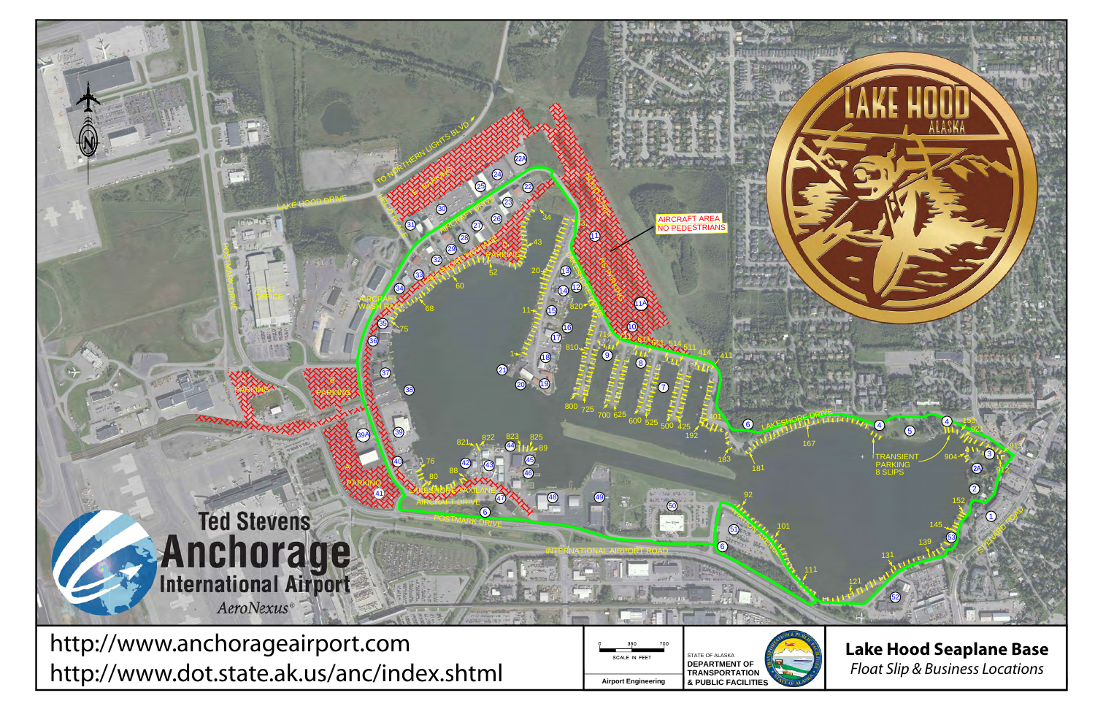